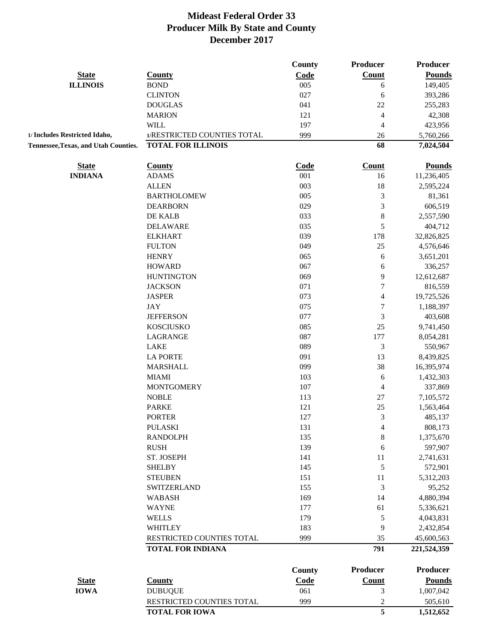|                                      |                                                       | County      | <b>Producer</b>          | <b>Producer</b>           |
|--------------------------------------|-------------------------------------------------------|-------------|--------------------------|---------------------------|
| <b>State</b>                         | <b>County</b>                                         | Code        | Count                    | <b>Pounds</b>             |
| <b>ILLINOIS</b>                      | <b>BOND</b>                                           | 005         | 6                        | 149,405                   |
|                                      | <b>CLINTON</b>                                        | 027         | 6                        | 393,286                   |
|                                      | <b>DOUGLAS</b>                                        | 041         | 22                       | 255,283                   |
|                                      | <b>MARION</b>                                         | 121         | 4                        | 42,308                    |
|                                      | <b>WILL</b>                                           | 197         | 4                        | 423,956                   |
| 1/ Includes Restricted Idaho,        | 1/RESTRICTED COUNTIES TOTAL                           | 999         | 26                       | 5,760,266                 |
| Tennessee, Texas, and Utah Counties. | <b>TOTAL FOR ILLINOIS</b>                             |             | 68                       | 7,024,504                 |
| <b>State</b>                         | <b>County</b>                                         | <b>Code</b> | <b>Count</b>             | <b>Pounds</b>             |
| <b>INDIANA</b>                       | <b>ADAMS</b>                                          | 001         | 16                       | 11,236,405                |
|                                      | <b>ALLEN</b>                                          | 003         | 18                       | 2,595,224                 |
|                                      | <b>BARTHOLOMEW</b>                                    | 005         | 3                        | 81,361                    |
|                                      | <b>DEARBORN</b>                                       | 029         | 3                        | 606,519                   |
|                                      | DE KALB                                               | 033         | 8                        | 2,557,590                 |
|                                      | <b>DELAWARE</b>                                       | 035         | 5                        | 404,712                   |
|                                      | <b>ELKHART</b>                                        | 039         | 178                      | 32,826,825                |
|                                      | <b>FULTON</b>                                         | 049         | 25                       | 4,576,646                 |
|                                      | <b>HENRY</b>                                          | 065         | 6                        | 3,651,201                 |
|                                      | <b>HOWARD</b>                                         | 067         | 6                        | 336,257                   |
|                                      | <b>HUNTINGTON</b>                                     | 069         | 9                        | 12,612,687                |
|                                      | <b>JACKSON</b>                                        | 071         | 7                        | 816,559                   |
|                                      | <b>JASPER</b>                                         | 073         | $\overline{\mathcal{A}}$ | 19,725,526                |
|                                      | <b>JAY</b>                                            | 075         | $\sqrt{ }$               | 1,188,397                 |
|                                      | <b>JEFFERSON</b>                                      | 077         | 3                        | 403,608                   |
|                                      | <b>KOSCIUSKO</b>                                      | 085         | 25                       | 9,741,450                 |
|                                      | LAGRANGE                                              | 087         | 177                      | 8,054,281                 |
|                                      | LAKE                                                  | 089         | 3                        | 550,967                   |
|                                      | <b>LA PORTE</b>                                       | 091         | 13                       | 8,439,825                 |
|                                      | <b>MARSHALL</b>                                       | 099         | 38                       |                           |
|                                      |                                                       |             |                          | 16,395,974                |
|                                      | <b>MIAMI</b>                                          | 103         | 6                        | 1,432,303                 |
|                                      | <b>MONTGOMERY</b>                                     | 107         | 4                        | 337,869                   |
|                                      | <b>NOBLE</b>                                          | 113         | 27                       | 7,105,572                 |
|                                      | <b>PARKE</b>                                          | 121         | 25                       | 1,563,464                 |
|                                      | <b>PORTER</b>                                         | 127         | 3                        | 485,137                   |
|                                      | <b>PULASKI</b>                                        | 131         | 4                        | 808,173                   |
|                                      | <b>RANDOLPH</b>                                       | 135         | $\,8$                    | 1,375,670                 |
|                                      | <b>RUSH</b>                                           | 139         | 6                        | 597,907                   |
|                                      | ST. JOSEPH                                            | 141         | $11\,$                   | 2,741,631                 |
|                                      | <b>SHELBY</b>                                         | 145         | $\sqrt{5}$               | 572,901                   |
|                                      | <b>STEUBEN</b>                                        | 151         | $11\,$                   | 5,312,203                 |
|                                      | <b>SWITZERLAND</b>                                    | 155         | 3                        | 95,252                    |
|                                      | <b>WABASH</b>                                         | 169         | 14                       | 4,880,394                 |
|                                      | <b>WAYNE</b>                                          | 177         | 61                       | 5,336,621                 |
|                                      | <b>WELLS</b>                                          | 179         | 5                        | 4,043,831                 |
|                                      | <b>WHITLEY</b>                                        | 183         | 9                        | 2,432,854                 |
|                                      | RESTRICTED COUNTIES TOTAL<br><b>TOTAL FOR INDIANA</b> | 999         | 35<br>791                | 45,600,563<br>221,524,359 |
|                                      |                                                       |             |                          |                           |
|                                      |                                                       | County      | <b>Producer</b>          | <b>Producer</b>           |
| <b>State</b>                         | <b>County</b>                                         | Code        | <b>Count</b>             | <b>Pounds</b>             |
| <b>IOWA</b>                          | <b>DUBUQUE</b>                                        | 061         | 3                        | 1,007,042                 |
|                                      | RESTRICTED COUNTIES TOTAL                             | 999         | $\mathfrak{2}$           | 505,610                   |
|                                      | <b>TOTAL FOR IOWA</b>                                 |             | 5                        | 1,512,652                 |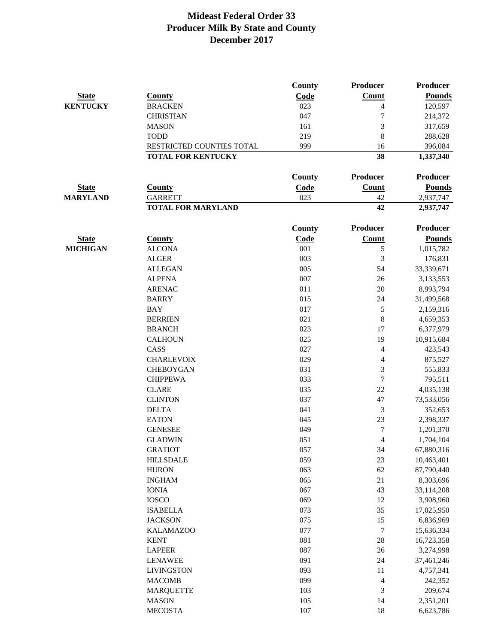|                 |                           | County        | Producer                | <b>Producer</b> |
|-----------------|---------------------------|---------------|-------------------------|-----------------|
| <b>State</b>    | <b>County</b>             | Code          | <b>Count</b>            | <b>Pounds</b>   |
| <b>KENTUCKY</b> | <b>BRACKEN</b>            | 023           | 4                       | 120,597         |
|                 | <b>CHRISTIAN</b>          | 047           | 7                       | 214,372         |
|                 | <b>MASON</b>              | 161           | 3                       | 317,659         |
|                 | <b>TODD</b>               | 219           | 8                       | 288,628         |
|                 | RESTRICTED COUNTIES TOTAL | 999           | 16                      | 396,084         |
|                 | <b>TOTAL FOR KENTUCKY</b> |               | 38                      | 1,337,340       |
|                 |                           | County        | Producer                | Producer        |
| <b>State</b>    | <b>County</b>             | Code          | Count                   | <b>Pounds</b>   |
| <b>MARYLAND</b> | <b>GARRETT</b>            | 023           | 42                      | 2,937,747       |
|                 | <b>TOTAL FOR MARYLAND</b> |               | 42                      | 2,937,747       |
|                 |                           | <b>County</b> | Producer                | <b>Producer</b> |
| <b>State</b>    | <b>County</b>             | Code          | <b>Count</b>            | <b>Pounds</b>   |
| <b>MICHIGAN</b> | <b>ALCONA</b>             | 001           | 5                       | 1,015,782       |
|                 | <b>ALGER</b>              | 003           | 3                       | 176,831         |
|                 | <b>ALLEGAN</b>            | 005           | 54                      | 33,339,671      |
|                 | <b>ALPENA</b>             | 007           | 26                      | 3,133,553       |
|                 | <b>ARENAC</b>             | 011           | 20                      | 8,993,794       |
|                 | <b>BARRY</b>              | 015           | 24                      | 31,499,568      |
|                 | <b>BAY</b>                | 017           | 5                       | 2,159,316       |
|                 | <b>BERRIEN</b>            | 021           | 8                       | 4,659,353       |
|                 | <b>BRANCH</b>             | 023           | 17                      | 6,377,979       |
|                 | <b>CALHOUN</b>            | 025           | 19                      | 10,915,684      |
|                 | CASS                      | 027           | 4                       | 423,543         |
|                 | <b>CHARLEVOIX</b>         | 029           | 4                       | 875,527         |
|                 | <b>CHEBOYGAN</b>          | 031           | $\mathfrak{Z}$          | 555,833         |
|                 | <b>CHIPPEWA</b>           | 033           | $\boldsymbol{7}$        | 795,511         |
|                 | <b>CLARE</b>              | 035           | 22                      | 4,035,138       |
|                 | <b>CLINTON</b>            | 037           | 47                      | 73,533,056      |
|                 | <b>DELTA</b>              | 041           | 3                       | 352,653         |
|                 | <b>EATON</b>              | 045           | 23                      | 2,398,337       |
|                 | <b>GENESEE</b>            | 049           | $\boldsymbol{7}$        | 1,201,370       |
|                 | <b>GLADWIN</b>            | 051           | 4                       | 1,704,104       |
|                 | <b>GRATIOT</b>            | 057           | 34                      | 67,880,316      |
|                 | <b>HILLSDALE</b>          | 059           | 23                      | 10,463,401      |
|                 | <b>HURON</b>              | 063           | 62                      | 87,790,440      |
|                 | <b>INGHAM</b>             | 065           | 21                      | 8,303,696       |
|                 | <b>IONIA</b>              | 067           | 43                      | 33,114,208      |
|                 | <b>IOSCO</b>              | 069           | 12                      | 3,908,960       |
|                 | <b>ISABELLA</b>           | 073           | 35                      | 17,025,950      |
|                 | <b>JACKSON</b>            | 075           | 15                      | 6,836,969       |
|                 | <b>KALAMAZOO</b>          | 077           | $\boldsymbol{7}$        | 15,636,334      |
|                 | <b>KENT</b>               | 081           | 28                      | 16,723,358      |
|                 | <b>LAPEER</b>             | 087           | 26                      | 3,274,998       |
|                 | <b>LENAWEE</b>            | 091           | 24                      | 37,461,246      |
|                 | <b>LIVINGSTON</b>         | 093           | 11                      | 4,757,341       |
|                 | <b>MACOMB</b>             | 099           | $\overline{\mathbf{4}}$ | 242,352         |
|                 | <b>MARQUETTE</b>          | 103           | 3                       | 209,674         |
|                 | <b>MASON</b>              | 105           | 14                      | 2,351,201       |
|                 | <b>MECOSTA</b>            | 107           | 18                      | 6,623,786       |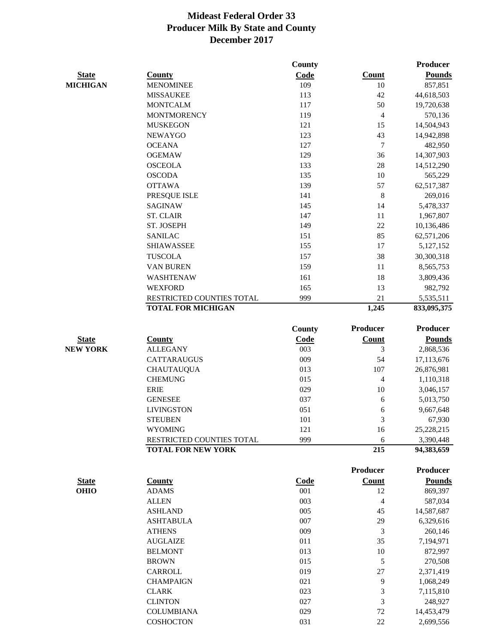|                 |                           | <b>County</b> |                          | Producer        |
|-----------------|---------------------------|---------------|--------------------------|-----------------|
| <b>State</b>    | <b>County</b>             | Code          | Count                    | <b>Pounds</b>   |
| <b>MICHIGAN</b> | <b>MENOMINEE</b>          | 109           | 10                       | 857,851         |
|                 | <b>MISSAUKEE</b>          | 113           | 42                       | 44,618,503      |
|                 | <b>MONTCALM</b>           | 117           | 50                       | 19,720,638      |
|                 | <b>MONTMORENCY</b>        | 119           | $\overline{\mathbf{4}}$  | 570,136         |
|                 | <b>MUSKEGON</b>           | 121           | 15                       | 14,504,943      |
|                 | <b>NEWAYGO</b>            | 123           | 43                       | 14,942,898      |
|                 | <b>OCEANA</b>             | 127           | $\tau$                   | 482,950         |
|                 | <b>OGEMAW</b>             | 129           | 36                       | 14,307,903      |
|                 | <b>OSCEOLA</b>            | 133           | 28                       | 14,512,290      |
|                 | <b>OSCODA</b>             | 135           | 10                       | 565,229         |
|                 | <b>OTTAWA</b>             | 139           | 57                       | 62,517,387      |
|                 | PRESQUE ISLE              | 141           | $\,8\,$                  | 269,016         |
|                 | <b>SAGINAW</b>            | 145           | 14                       | 5,478,337       |
|                 | <b>ST. CLAIR</b>          | 147           | 11                       | 1,967,807       |
|                 | ST. JOSEPH                | 149           | 22                       | 10,136,486      |
|                 | <b>SANILAC</b>            | 151           | 85                       | 62,571,206      |
|                 | <b>SHIAWASSEE</b>         | 155           | 17                       | 5,127,152       |
|                 | <b>TUSCOLA</b>            | 157           | 38                       | 30,300,318      |
|                 | <b>VAN BUREN</b>          | 159           | 11                       | 8,565,753       |
|                 | <b>WASHTENAW</b>          | 161           | 18                       | 3,809,436       |
|                 | <b>WEXFORD</b>            | 165           | 13                       | 982,792         |
|                 | RESTRICTED COUNTIES TOTAL | 999           | 21                       | 5,535,511       |
|                 | <b>TOTAL FOR MICHIGAN</b> |               | 1,245                    | 833,095,375     |
|                 |                           |               |                          |                 |
|                 |                           | <b>County</b> | <b>Producer</b>          | <b>Producer</b> |
| <b>State</b>    | <b>County</b>             | Code          | <b>Count</b>             | <b>Pounds</b>   |
| <b>NEW YORK</b> | <b>ALLEGANY</b>           | 003           | 3                        | 2,868,536       |
|                 | <b>CATTARAUGUS</b>        | 009           | 54                       | 17,113,676      |
|                 | <b>CHAUTAUQUA</b>         | 013           | 107                      | 26,876,981      |
|                 | <b>CHEMUNG</b>            | 015           | $\overline{4}$           | 1,110,318       |
|                 | <b>ERIE</b>               | 029           | $10\,$                   | 3,046,157       |
|                 | <b>GENESEE</b>            | 037           | 6                        | 5,013,750       |
|                 | <b>LIVINGSTON</b>         | 051           | 6                        | 9,667,648       |
|                 | <b>STEUBEN</b>            | 101           | 3                        | 67,930          |
|                 | <b>WYOMING</b>            | 121           | 16                       | 25,228,215      |
|                 | RESTRICTED COUNTIES TOTAL | 999           | 6                        | 3,390,448       |
|                 | <b>TOTAL FOR NEW YORK</b> |               | 215                      | 94,383,659      |
|                 |                           |               | Producer                 | Producer        |
| <b>State</b>    | <b>County</b>             | Code          | Count                    | <b>Pounds</b>   |
| <b>OHIO</b>     | <b>ADAMS</b>              | 001           | 12                       | 869,397         |
|                 | <b>ALLEN</b>              | 003           | $\overline{\mathcal{L}}$ | 587,034         |
|                 | <b>ASHLAND</b>            | 005           | 45                       | 14,587,687      |
|                 | <b>ASHTABULA</b>          | 007           | 29                       | 6,329,616       |
|                 | <b>ATHENS</b>             | 009           | 3                        | 260,146         |
|                 | <b>AUGLAIZE</b>           | 011           | 35                       | 7,194,971       |
|                 | <b>BELMONT</b>            | 013           | 10                       | 872,997         |
|                 | <b>BROWN</b>              | 015           | 5                        | 270,508         |
|                 | CARROLL                   | 019           | 27                       | 2,371,419       |
|                 | <b>CHAMPAIGN</b>          | 021           | 9                        | 1,068,249       |
|                 | <b>CLARK</b>              | 023           | 3                        | 7,115,810       |
|                 | <b>CLINTON</b>            | 027           | 3                        | 248,927         |
|                 | <b>COLUMBIANA</b>         | 029           | $72\,$                   | 14,453,479      |
|                 |                           |               |                          |                 |

COSHOCTON 031 22 2,699,556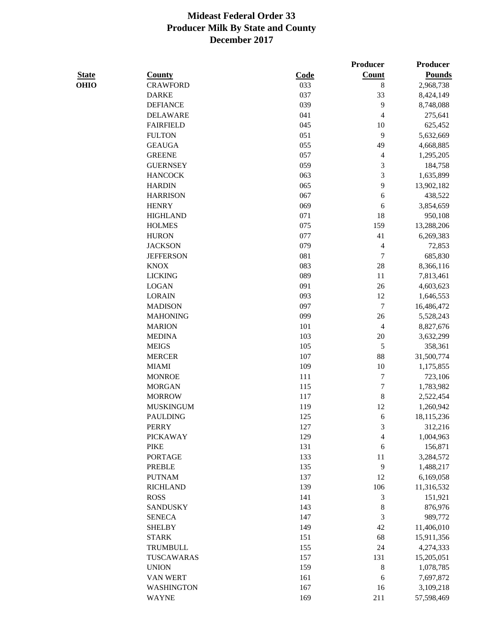|              |                   |             | Producer         | Producer      |
|--------------|-------------------|-------------|------------------|---------------|
| <b>State</b> | <b>County</b>     | <b>Code</b> | <b>Count</b>     | <b>Pounds</b> |
| <b>OHIO</b>  | <b>CRAWFORD</b>   | 033         | $\,8$            | 2,968,738     |
|              | <b>DARKE</b>      | 037         | 33               | 8,424,149     |
|              | <b>DEFIANCE</b>   | 039         | $\mathbf{9}$     | 8,748,088     |
|              | <b>DELAWARE</b>   | 041         | 4                | 275,641       |
|              | <b>FAIRFIELD</b>  | 045         | 10               | 625,452       |
|              | <b>FULTON</b>     | 051         | 9                | 5,632,669     |
|              | <b>GEAUGA</b>     | 055         | 49               | 4,668,885     |
|              | <b>GREENE</b>     | 057         | 4                | 1,295,205     |
|              | <b>GUERNSEY</b>   | 059         | 3                | 184,758       |
|              | <b>HANCOCK</b>    | 063         | 3                | 1,635,899     |
|              | <b>HARDIN</b>     | 065         | 9                | 13,902,182    |
|              | <b>HARRISON</b>   | 067         | 6                | 438,522       |
|              | <b>HENRY</b>      | 069         | 6                | 3,854,659     |
|              | <b>HIGHLAND</b>   | 071         | 18               | 950,108       |
|              | <b>HOLMES</b>     | 075         | 159              | 13,288,206    |
|              | <b>HURON</b>      | 077         | 41               | 6,269,383     |
|              | <b>JACKSON</b>    | 079         | 4                | 72,853        |
|              | <b>JEFFERSON</b>  | 081         | $\overline{7}$   | 685,830       |
|              | <b>KNOX</b>       | 083         | $28\,$           | 8,366,116     |
|              | <b>LICKING</b>    | 089         | 11               | 7,813,461     |
|              | <b>LOGAN</b>      | 091         | 26               | 4,603,623     |
|              | <b>LORAIN</b>     | 093         | 12               | 1,646,553     |
|              | <b>MADISON</b>    | 097         | $\boldsymbol{7}$ | 16,486,472    |
|              | <b>MAHONING</b>   | 099         | 26               | 5,528,243     |
|              | <b>MARION</b>     | 101         | $\overline{4}$   | 8,827,676     |
|              | <b>MEDINA</b>     | 103         | $20\,$           | 3,632,299     |
|              | <b>MEIGS</b>      | 105         | $\sqrt{5}$       | 358,361       |
|              | <b>MERCER</b>     | 107         | 88               | 31,500,774    |
|              | <b>MIAMI</b>      | 109         | 10               | 1,175,855     |
|              | <b>MONROE</b>     | 111         | $\boldsymbol{7}$ | 723,106       |
|              | <b>MORGAN</b>     | 115         | $\boldsymbol{7}$ | 1,783,982     |
|              | <b>MORROW</b>     | 117         | 8                | 2,522,454     |
|              | <b>MUSKINGUM</b>  | 119         | 12               | 1,260,942     |
|              | <b>PAULDING</b>   | 125         | 6                | 18,115,236    |
|              | PERRY             | 127         | 3                | 312,216       |
|              | <b>PICKAWAY</b>   | 129         | 4                | 1,004,963     |
|              | <b>PIKE</b>       | 131         | 6                | 156,871       |
|              | <b>PORTAGE</b>    | 133         | 11               | 3,284,572     |
|              | <b>PREBLE</b>     | 135         | 9                | 1,488,217     |
|              | <b>PUTNAM</b>     | 137         | 12               | 6,169,058     |
|              | <b>RICHLAND</b>   | 139         | 106              | 11,316,532    |
|              | <b>ROSS</b>       | 141         | 3                | 151,921       |
|              | <b>SANDUSKY</b>   | 143         | 8                | 876,976       |
|              | <b>SENECA</b>     | 147         | 3                | 989,772       |
|              | <b>SHELBY</b>     | 149         | 42               | 11,406,010    |
|              | <b>STARK</b>      | 151         | 68               | 15,911,356    |
|              | TRUMBULL          | 155         | 24               | 4,274,333     |
|              | TUSCAWARAS        | 157         | 131              | 15,205,051    |
|              | <b>UNION</b>      | 159         | $\,8\,$          | 1,078,785     |
|              | VAN WERT          | 161         | 6                | 7,697,872     |
|              | <b>WASHINGTON</b> | 167         | 16               | 3,109,218     |
|              | <b>WAYNE</b>      | 169         | 211              | 57,598,469    |
|              |                   |             |                  |               |